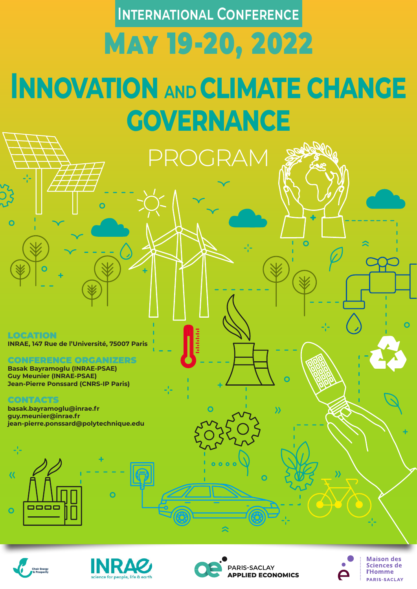**Innovation and climate change governance** May 19-20, 2022 **International Conference**  LOCATION **INRAE, 147 Rue de l'Université, 75007 Paris** CONFERENCE ORGANIZERS **ROGRAM** 

**Basak Bayramoglu (INRAE-PSAE)**

**Guy Meunier (INRAE-PSAE) Jean-Pierre Ponssard (CNRS-IP Paris)**

# CONTACTS

**basak.bayramoglu@inrae.fr guy.meunier@inrae.fr jean-pierre.ponssard@polytechnique.edu** 







 $\hat{\mathbf{z}}$ 



**Maison des** Sciences de l'Homme **PARIS-SACLAY**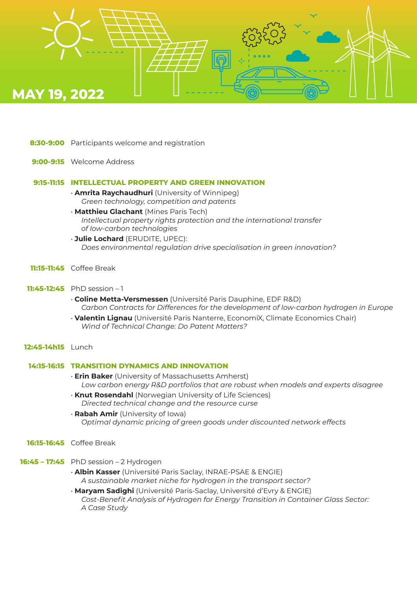

- **8:30-9:00** Participants welcome and registration
- **9:00-9:15** Welcome Address

### **9:15-11:15 INTELLECTUAL PROPERTY AND GREEN INNOVATION**

- **Amrita Raychaudhuri** (University of Winnipeg)  *Green technology, competition and patents*
- **Matthieu Glachant** (Mines Paris Tech)  *Intellectual property rights protection and the international transfer of low-carbon technologies*
- **Julie Lochard** (ERUDITE, UPEC):  *Does environmental regulation drive specialisation in green innovation?*
- **11:15-11:45** Coffee Break
- **11:45-12:45** PhD session 1
	- **Coline Metta-Versmessen** (Université Paris Dauphine, EDF R&D)  *Carbon Contracts for Differences for the development of low-carbon hydrogen in Europe*
	- **Valentin Lignau** (Université Paris Nanterre, EconomiX, Climate Economics Chair)  *Wind of Technical Change: Do Patent Matters?*

### **12:45-14h15** Lunch

# **14:15-16:15 TRANSITION DYNAMICS AND INNOVATION**

- **Erin Baker** (University of Massachusetts Amherst)  *Low carbon energy R&D portfolios that are robust when models and experts disagree*
- **Knut Rosendahl** (Norwegian University of Life Sciences)  *Directed technical change and the resource curse*
- **Rabah Amir** (University of Iowa)  *Optimal dynamic pricing of green goods under discounted network effects*
- **16:15-16:45** Coffee Break
- **16:45 17:45** PhD session 2 Hydrogen
	- **Albin Kasser** (Université Paris Saclay, INRAE-PSAE & ENGIE)  *A sustainable market niche for hydrogen in the transport sector?*
	- **Maryam Sadighi** (Université Paris-Saclay, Université d'Evry & ENGIE) *Cost-Benefit Analysis of Hydrogen for Energy Transition in Container Glass Sector: A Case Study*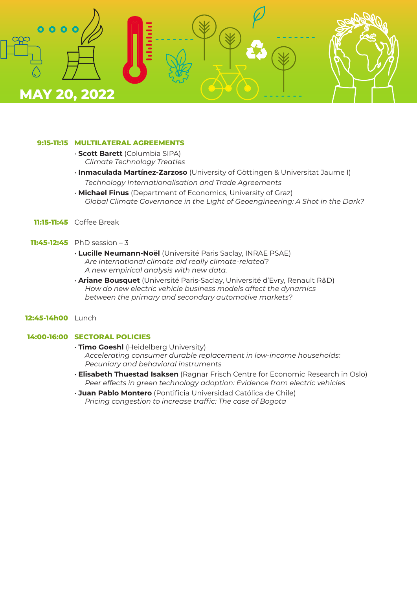

### **9:15-11:15 MULTILATERAL AGREEMENTS**

- **Scott Barett** (Columbia SIPA)  *Climate Technology Treaties*
- **Inmaculada Martínez-Zarzoso** (University of Göttingen & Universitat Jaume I)  *Technology Internationalisation and Trade Agreements*
- **Michael Finus** (Department of Economics, University of Graz)  *Global Climate Governance in the Light of Geoengineering: A Shot in the Dark?*
- **11:15-11:45** Coffee Break

# **11:45-12:45** PhD session – 3

- **Lucille Neumann-Noël** (Université Paris Saclay, INRAE PSAE) *Are international climate aid really climate-related? A new empirical analysis with new data.*
- **Ariane Bousquet** (Université Paris-Saclay, Université d'Evry, Renault R&D) *How do new electric vehicle business models affect the dynamics between the primary and secondary automotive markets?*

### **12:45-14h00** Lunch

# **14:00-16:00 SECTORAL POLICIES**

- **Timo Goeshl** (Heidelberg University)  *Accelerating consumer durable replacement in low-income households: Pecuniary and behavioral instruments*
- **Elisabeth Thuestad Isaksen** (Ragnar Frisch Centre for Economic Research in Oslo)  *Peer effects in green technology adoption: Evidence from electric vehicles*
- **Juan Pablo Montero** (Pontificia Universidad Católica de Chile)  *Pricing congestion to increase traffic: The case of Bogota*